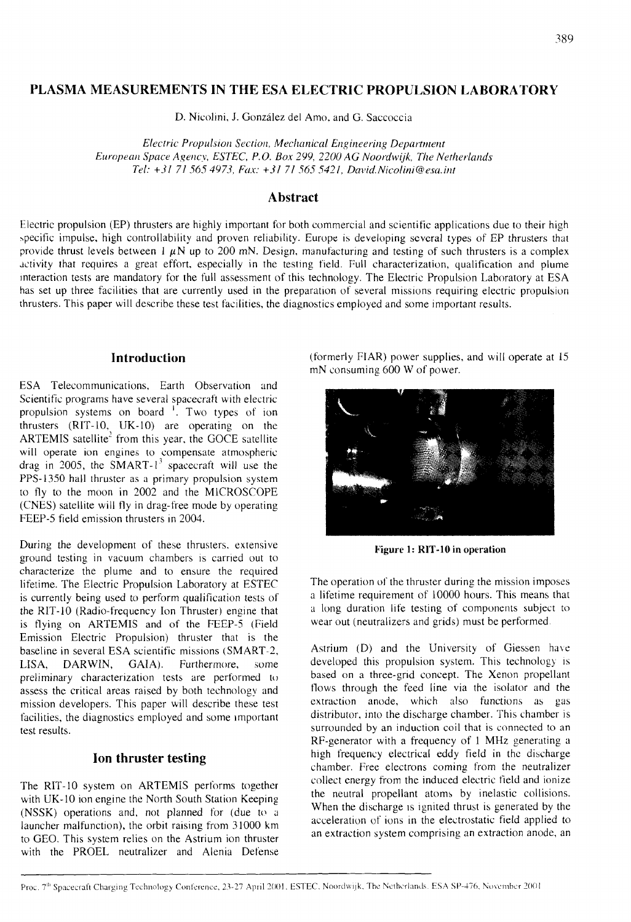# **PLASMA MEASUREMENTS IN THE ESA ELECTRIC PROPULSION LABORATORY**

D. Nicolini, J. Gonzalez del Amo. and G. Saccoccia

*Electric Propulsion Section, Mechanical Engineering Department European Space Agency, ESTEC, P.O. Box 299, 2200 AG Noordwijk, The Netherlands Tel: +3* / *7/ 56.5 4973,* Fox: *+3/ 7/ 56.5 542* 1, *David. Nicolini@esa.it~t* 

# **Abstract**

Electric propulsion (EP) thrusters are highly important for both commercial and scientific applications due to their high ~pecific impulse, high controllability and proven reliability. Europe is developing scvcral types of EP thrusters that provide thrust levels between  $1 \mu N$  up to 200 mN. Design, manufacturing and testing of such thrusters is a complex activity that requires a great effort, especially in the testing field. Full characterization, qualification and plume interaction tests are mandatory for the full assessment of this technology. The Electric Propulsion Laboratory at ESA has set up three facilities that are currently used in the preparation of several missions requiring electric propulsion thrusters. This paper will describe these test facilities, the diagnostics employed and some important results.

# **Introduction**

ESA Telecommunications, Earth Observation and Scientific programs have several spacecraft with electric **1** propulsion systems on board <sup>1</sup>. Two types of ion thrusters (RIT-10, UK-10) are operating on the ARTEMIS satellite<sup>2</sup> from this year, the GOCE satellite will operate ion engines to compensate atmospheric drag in 2005, the SMART- $1^3$  spacecraft will use the PPS-1350 hall thruster as a primary propulsion system to fly to the moon in 2002 and the MlCROSCOPE (CNES) satellite will fly in drag-free mode by operating FEEP-5 field emission thrusters in 2004.

During the development of these thrusters. extensive ground testing in vacuum chambers is carried out to characterize the plume and to ensure the required lifetime. The Electric Propulsion Laboratory at ESTEC is currently being used to perform qualification tests of the RIT-I0 (Radio-frequency Ion Thruster) engine that is flying on ARTEMIS and of the FEEP-5 (Field Emission Electric Propulsion) thruster that is the baseline in several ESA scientific missions (SMART-?, LISA, DARWIN, GAIA). Furthermore, some preliminary characterization tests are performed to assess the critical areas raised by both technology and mission developers. This paper will describe these test facilities, the diagnostics employed and some important test results.

# **Ion thruster testing**

The RIT-10 system on ARTEMIS performs together with UK-10 ion engine the North South Station Keeping  $(NSSK)$  operations and, not planned for  $(due to a)$ launcher malfunction), the orbit raising from 31000 km to GEO. This system relies on the Astrium ion thruster with the PROEL neutralizer and Alenia Defense

(formerly FIAR) power supplies. and will operate at 15 mN consuming 600 W of power.



**Figure 1: RIT-10 in operation** 

The operation of the thruster during the mission imposes a lifetime requirement of 10000 hours. This means that a long duration life testing of components subject to wear out (neutralizers and grids) must be performed.

Astrium (D) and the University of Giessen have developed this propulsion system. This technology is based on a three-grid concept. The Xenon propellant flows through the feed line via the isolator and the extraction anode, which also functions as gas distributor. into the discharge chamber. This chamber is surrounded by an induction coil that is connected to an RF-generator with a frequency of I MHz generating a high frequency electrical eddy field in the discharge chamber. Free electrons coming from the neutralizer collect energy from the induced electric field and ionize the neutral propellant atoms by inelastic collisions. When the discharge is ignited thrust is generated by the acceleration of ions in the electrostatic field applied to an extraction system comprising an extraction anode, an

Proc. 7<sup>th</sup> Spacecraft Charging Technology Conference, 23-27 April 2001, ESTEC, Noordwijk, The Netherlands. ESA SP-476, November 2001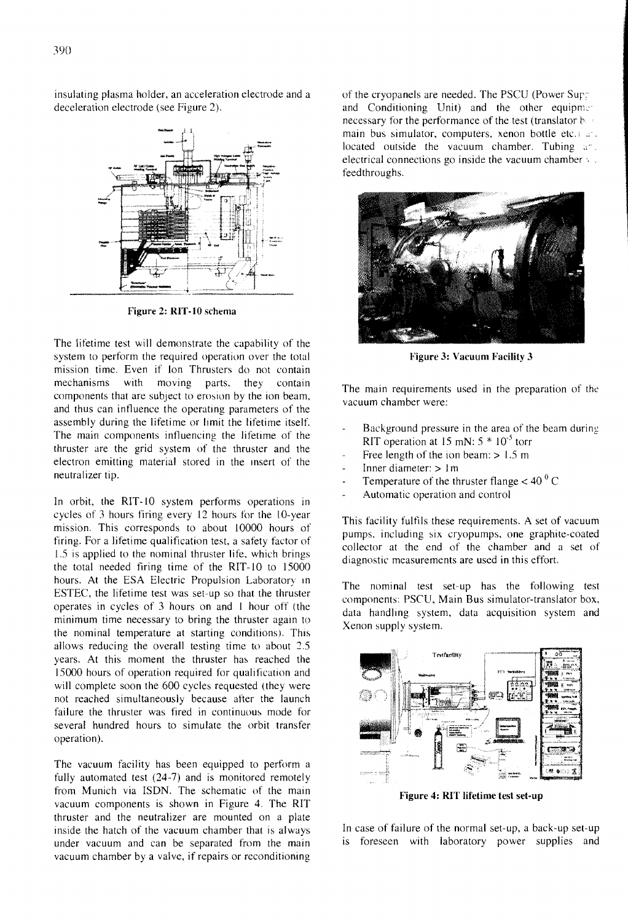insulating plasma holder, an acceleration electrode and a deceleration electrode (see Figure 2).



Figure **2: KIT-10** schema

The lifetime test will demonstrate the capability of the system to perform the required operation over the total mission time. Even if Ion Thrusters do not contain<br>mechanisms with moving parts, they contain with moving parts, they contain components that are subject to erosion by the ion beam, and thus can intluence the operating parameters of the assembly during the lifetime or limit the lifetime itself. The main components influencing the lifetime of the thruster are the grid system of the thruster and the electron emitting material stored in the insert of the neutralizer tip.

In orbit, the RIT-10 system performs operations in cycles of 3 hours firing every 12 hours for the 10-year mission. This corresponds to about 10000 hours of firing. For a lifetime qualification test, a safety factor of 1.5 is applied to the nominal thruster life, which brings the total needed firing time of the RIT-I0 to 15000 hours. At the ESA Electric Propulsion Laboratory in ESTEC, the lifetime test was set-up so that the thruster operates in cycles of 3 hours on and I hour off (the minimum time necessary to bring the thruster again to the nominal temperature at starting conditions). This allows reducing the overall testing time to about 2.5 years. At this moment the thruster has reached the 15000 hours of operation required for qualification and will complete soon the 600 cycles requested (they were not reached simultaneously because after the launch failure the thruster was fired in continuous mode for several hundred hours to simulate the orbit transfer operation).

The vacuum facility has been equipped to perform a fully automated test (24-7) and is monitored remotely from Munich via ISDN. The schematic of the main vacuum components is shown in Figure 4. The RIT thruster and the neutralizer are mounted on a plate inside the hatch of the vacuum chamber that is always under vacuum and can be separated from the main vacuum chamber by a valve, if repairs or reconditioning

of the cryopanels are needed. The PSCU (Power Sup; and Conditioning Unit) and the other equipment necessary for the performance of the test (translator  $b \geq 1$ main bus simulator, computers, xenon bottle etc.  $r \cdot r$ . located outside the vacuum chamber. Tubing and electrical connections go inside the vacuum chamber  $\sqrt{ }$ . feedthroughs.



**Figure 3: Vacuum Facility 3** 

The main requirements used in the preparation of the vacuum chamber were:

- Background pressure in the area of the beam during RIT operation at 15 mN:  $5 * 10^{-5}$  torr
- Free length of the ion beam:  $> 1.5$  m
- Inner diameter:  $> 1$  m
- Temperature of the thruster flange  $<$  40<sup> $0$ </sup> C
- Automatic operation and control

This facility fulfils these requirements. A set of vacuum pumps, including six cryopumps, one graphite-coated collector at the end of the chamber and a set of diagnostic measurements are used in this effort.

The nominal test set-up has the following test components: PSCU, Main Bus simulator-translator box, data handling system, data acquisition system and Xenon supply system.



Figure 4: RIT lifetime test set-up

In case of failure of the normal set-up, a back-up set-up is foreseen with laboratory power supplies and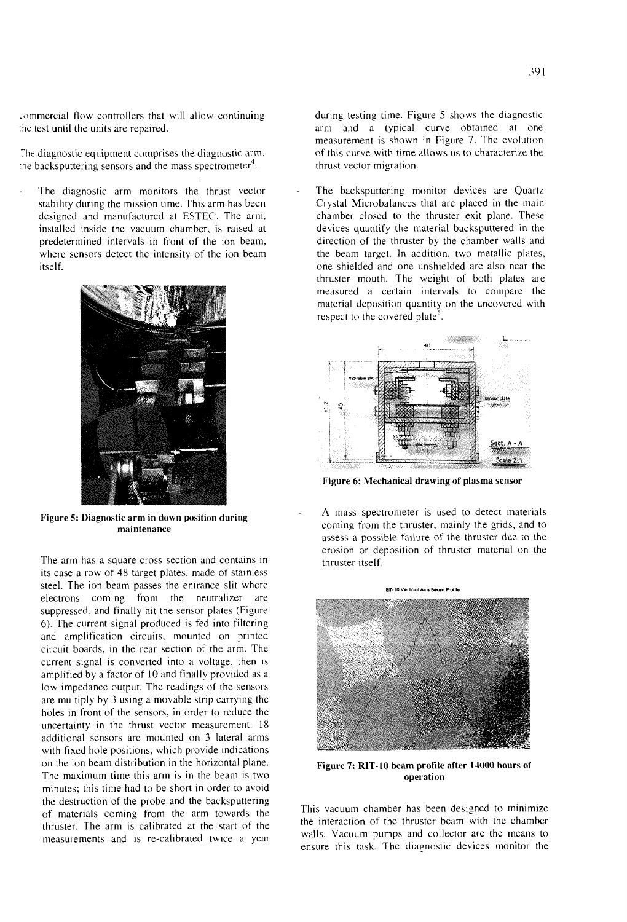.ommercial flow controllers that will allow continuing .he test until the units are repaired.

The diagnostic equipment comprises the diagnostic arm. the backsputtering sensors and the mass spectrometer<sup>4</sup>.

The diagnostic arm monitors the thrust vector stability during the mission time. This arm has been designed and manufactured at ESTEC. The arm, installed inside the vacuum chamber, is raised at predetermined intervals in front of the ion beam, where sensors detect the intensity of the ion beam itself.



Figure **5:** Diagnostic arm in down position during maintenance

The arm has a square cross section and contains in its case a row of 48 target plates, made of stainless steel. The ion beam passes the entrance slit where electrons coming from the neutralizer are suppressed, and finally hit the sensor plates (Figure 6). The current signal produced is fed into filtering and amplification circuits, mounted on printed circuit boards, in the rear section of the arm. The current signal is converted into a voltage, then is amplified by a factor of 10 and finally provided as a low impedance output. The readings of the sensors are multiply by 3 using a movable strip carrying the holes in front of the sensors, in order to reduce the uncertainty in the thrust vector measurement. 18 additional sensors are mounted on 3 lateral arms with fixed hole positions, which provide indications on the ion beam distribution in the horizontal plane. The maximum time this arm is in the beam is two minutes; this time had to be short in order to avoid the destruction of the probe and the backsputtering of materials coming from the arm towards the thruster. The arm is calibrated at the start of the measurements and is re-calibrated twice a year

during testing time. Figure 5 shows the diagnostic arm and a typical curve obtained at one measurement is shown in Figure 7. The evolution of this curve with time allows us to characterize the thrust vector migration.

The backsputtering monitor devices are Quartz Crystal Microbalances that are placed in the main chamber closed to the thruster exit plane. These devices quantify the material backsputtered in the direction of the thruster by the chamber walls and the beam target. In addition, two metallic plates. one shielded and one unshielded are also near the thruster mouth. The weight of both plates are measured a certain intervals to compare the material deposition quantity on the uncovered with respect to the covered plate<sup>5</sup>.



Figure *6:* Mechanical drawing of plasma sensor

**A** mass spectrometer is used to detect materials coming from the thruster, mainly the grids, and to assess a possible failure of the thruster due to the erosion or deposition of thruster material on the thruster itself.



Figure **7:** RIT- LO beam profile after **14000** hours of operation

This vacuum chamber has been designed to minimize the interaction of the thruster beam with the chamber walls. Vacuum pumps and collector are the means to ensure this task. The diagnostic devices monitor the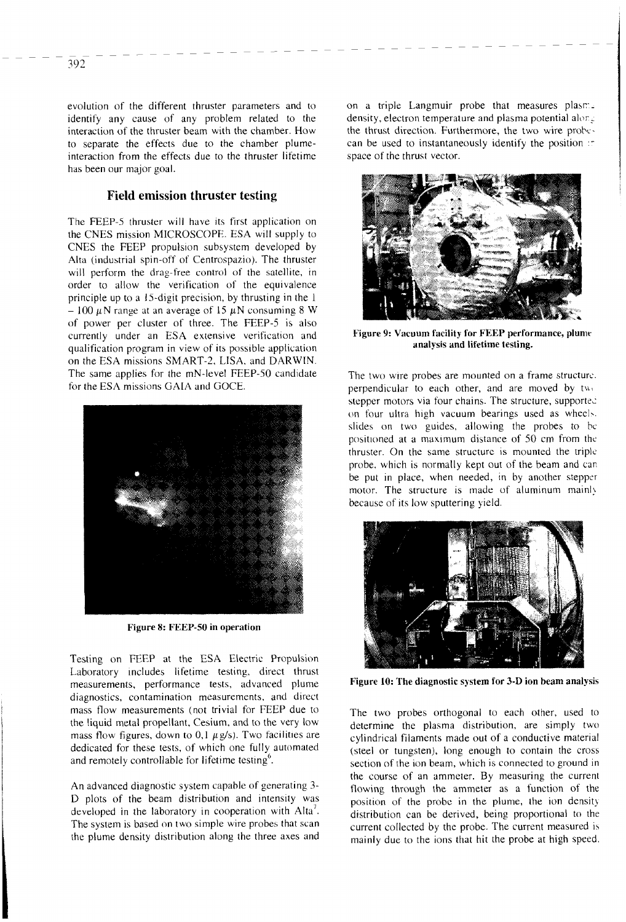evolution of the different thruster parameters and to identify any cause of any problem related to the interaction of the thruster beam with the chamber. How to separate the effects due to the chamber plumeinteraction from the effects due to the thruster lifetime has been our major goal.

### **Field emission thruster testing**

The FEEP-5 thruster will have its first application on the CNES mission MICROSCOPE. ESA will supply to CNES the FEEP propulsion subsystem developed by Alta (industrial spin-off of Centrospazio). The thruster will perform the drag-free control of the satellite, in order to allow the verification of the equivalence principle up to a 15-digit precision, by thrusting in the 1  $-100 \mu$ N range at an average of 15  $\mu$ N consuming 8 W of power per cluster of three. The FEEP-5 is also currently under an ESA extensive verification and qualification program in view of its possible application on the ESA missions SMART-2, LISA. and DARWN. The same applies for the mN-level FEEP-50 candidate for the ESA missions GAIA and GOCE.



**Figure 8: FEEP-50 in operation** 

Testing on FEEP at the ESA Electric Propulsion Laboratory includes lifetime testing, direct thrust measurements, performance tests, advanced plume diagnostics, contamination measurements, and direct mass tlow measurements (not trivial for FEEP due to the liquid metal propellant, Cesium, and to the very low mass flow figures, down to 0,1  $\mu$  g/s). Two facilities are dedicated for these tests, of which one fully automated and remotely controllable for lifetime testing $<sup>6</sup>$ .</sup>

An advanced diagnostic system capable of generating **3-**  D plots of the beam distribution and intensity was developed in the laboratory in cooperation with  $Alta^7$ . The system is based on two simple wire probes that scan the plume density distribution along the three axes and on a triple Langmuir probe that measures plasrdensity, electron temperature and plasma potential alor $\epsilon$ the thrust direction. Furthermore, the two wire probecan be used to instantaneously identify the position space ot the thrust vector.



**Figure 9: Vacuum facility for FEEP performance, plume analysis and lifetime testing.** 

The two wire probes are mounted on a frame structure. perpendicular to each other, and are moved by  $tw$ . stepper motors via four chains. The structure, supported on four ultra high vacuum bearings used as wheel.. slides on two guides, allowing the probes to bc. positioned at a maximum distance of 50 cm from the thruster. On the same structure is mounted the triple probe. which is normally kept out of the beam and can be put in place, when needed, in by another stepper motor. The structure is made of aluminum mainly because of its low sputtering yield.



**Figure 10: The diagnostic system for 3-D ion beam analysis** 

The two probes orthogonal to each other, used to determine the plasma distribution, are simply two cylindrical filaments made out of a conductive material (steel or tungsten), long enough to contain the cross section of the ion beam, which is connected to ground in the course of an ammeter. By measuring the current flowing through the ammeter as a function of the position of the probe in the plume, the ion density distribution can be derived, being proportional to the current collected by the probe. The current measured is mainly due to the ions that hit the probe at high speed.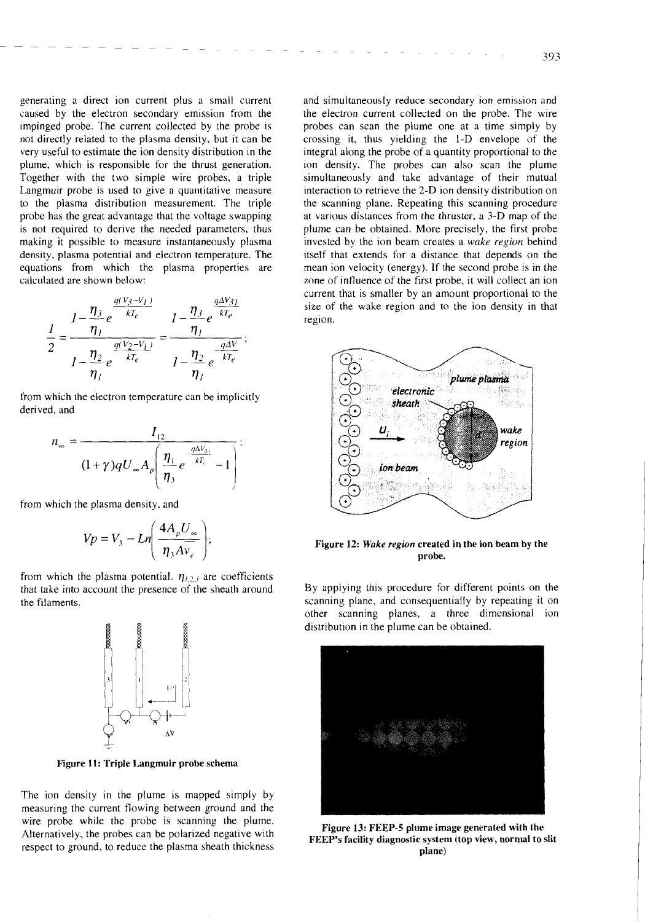393

generating a direct ion current plus a small current caused by the electron secondary emission from the impinged probe. The current collected by the probe is not directly related to the plasma density, but it can be very useful to estimate the ion density distribution in the plume, which is responsible for the thrust generation. Together with the two simple wire probes, a triple Langmuir probe is used to give a quantitative measure to the plasma distribution measurement. The triple probe has the great advantage that the voltage swapping is not required to derive the needed parameters, thus making it possible to measure instantaneously plasma density, plasma potential and electron temperature. The equations from which the plasma properties are calculated are shown below:

$$
\frac{1}{2} = \frac{1 - \frac{\eta_3}{\eta_1} e^{\frac{q(V_3 - V_1)}{kT_e}}}{1 - \frac{\eta_2}{\eta_1} e^{\frac{q(V_2 - V_1)}{kT_e}}} = \frac{1 - \frac{\eta_3}{\eta_1} e^{\frac{q\Delta V_3}{kT_e}}}{1 - \frac{\eta_2}{\eta_1} e^{\frac{-q\Delta V}{kT_e}}};
$$

from which the electron temperature can be implicitly derived, and

$$
n_{\infty} = \frac{I_{12}}{(1+\gamma)qU_{\infty}A_{p}\left(\frac{\eta_{1}}{\eta_{3}}e^{-\frac{q\Delta V_{31}}{kT_{r}}}-1\right)}.
$$

from which the plasma density. and

$$
Vp = V_3 - Ln\left(\frac{4A_pU_\infty}{\eta_3AV_e}\right);
$$

from which the plasma potential.  $\eta_{1,2,3}$  are coefficients that take into account the presence of the sheath around the filaments.



**Figure 11: Triple Langmuir probe schema** 

The ion density in the plume is mapped simply by measuring the current flowing between ground and the wire probe while the probe is scanning the plume. Alternatively, the probes can be polarized negative with respect to ground, to reduce the plasma sheath thickness and simultaneously reduce secondary ion emission and the electron current collected on the probe. The wire probes can scan the plume one at a time simply by crossing it, thus yielding the 1-D envelope of the integral along the probe of a quantity proportional to the ion density. The probes can also scan the plume simultaneously and take advantage of their mutual interaction to retrieve the 2-D ion density distribution on the scanning plane. Repeating this scanning procedure at various distances from the thruster, a 3-D map of the plume can be obtained. More precisely, the first probe invested by the ion beam creates a *wake* region behind itself that extends for a distance that depends on the mean ion velocity (energy). If the second probe is in the zone of influence of the first probe, it will collect an ion current that is smaller by an amount proportional to the size of the wake region and to the ion density in that region.



#### **Figure 12:** *Wake* **region created in the ion beam by the probe.**

By applying this procedure for different points on the scanning plane, and consequentially by repeating it on other scanning planes, a three dimensional ion distribution in the plume can be obtained.



**Figure 13: FEEY-5 plume image generated with the FEEP's facility diagnostic system (top view, normal to slit plane)**